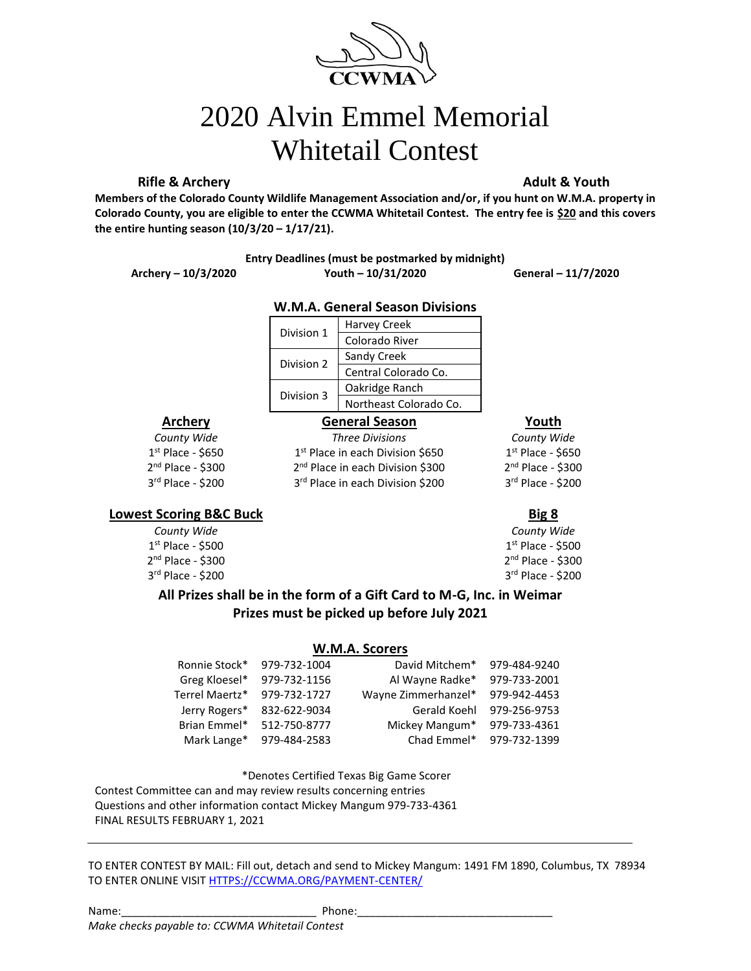

# 2020 Alvin Emmel Memorial Whitetail Contest

### **Rifle & Archery Adult & Youth Adult & Youth**

**Members of the Colorado County Wildlife Management Association and/or, if you hunt on W.M.A. property in Colorado County, you are eligible to enter the CCWMA Whitetail Contest. The entry fee is \$20 and this covers the entire hunting season (10/3/20 – 1/17/21).** 

### **Entry Deadlines (must be postmarked by midnight)**

### **Archery – 10/3/2020 Youth – 10/31/2020 General – 11/7/2020**

### **W.M.A. General Season Divisions**

| Division 1 | <b>Harvey Creek</b>    |
|------------|------------------------|
|            | Colorado River         |
| Division 2 | Sandy Creek            |
|            | Central Colorado Co.   |
| Division 3 | Oakridge Ranch         |
|            | Northeast Colorado Co. |

 $1<sup>st</sup>$  Place in each Division \$650

2<sup>nd</sup> Place in each Division \$300

3rd Place in each Division \$200

### **Archery General Season Youth**

*County Wide Three Divisions County Wide* 1<sup>st</sup> Place - \$650 1 2 nd Place - \$300 2 3 rd Place - \$200 3

 $1<sup>st</sup>$  Place - \$650  $2<sup>nd</sup>$  Place - \$300 rd Place - \$200

### **Lowest Scoring B&C Buck Big 8**

 $1<sup>st</sup>$  Place - \$500  $1<sup>st</sup>$ 2 nd Place - \$300 2  $3<sup>rd</sup>$  Place - \$200  $3<sup>rd</sup>$ 

*County Wide County Wide*  $1<sup>st</sup>$  Place - \$500  $2<sup>nd</sup>$  Place - \$300  $3<sup>rd</sup>$  Place - \$200

**All Prizes shall be in the form of a Gift Card to M-G, Inc. in Weimar Prizes must be picked up before July 2021**

### **W.M.A. Scorers**

| Ronnie Stock*  | 979-732-1004 | David Mitchem*      | 979-484-9240 |
|----------------|--------------|---------------------|--------------|
| Greg Kloesel*  | 979-732-1156 | Al Wayne Radke*     | 979-733-2001 |
| Terrel Maertz* | 979-732-1727 | Wayne Zimmerhanzel* | 979-942-4453 |
| Jerry Rogers*  | 832-622-9034 | Gerald Koehl        | 979-256-9753 |
| Brian Emmel*   | 512-750-8777 | Mickey Mangum*      | 979-733-4361 |
| Mark Lange*    | 979-484-2583 | Chad Emmel*         | 979-732-1399 |

\*Denotes Certified Texas Big Game Scorer

Contest Committee can and may review results concerning entries

Questions and other information contact Mickey Mangum 979-733-4361

FINAL RESULTS FEBRUARY 1, 2021

TO ENTER CONTEST BY MAIL: Fill out, detach and send to Mickey Mangum: 1491 FM 1890, Columbus, TX 78934 TO ENTER ONLINE VISIT [HTTPS://CCWMA.ORG/PAYMENT-CENTER/](https://ccwma.org/PAYMENT-CENTER/)